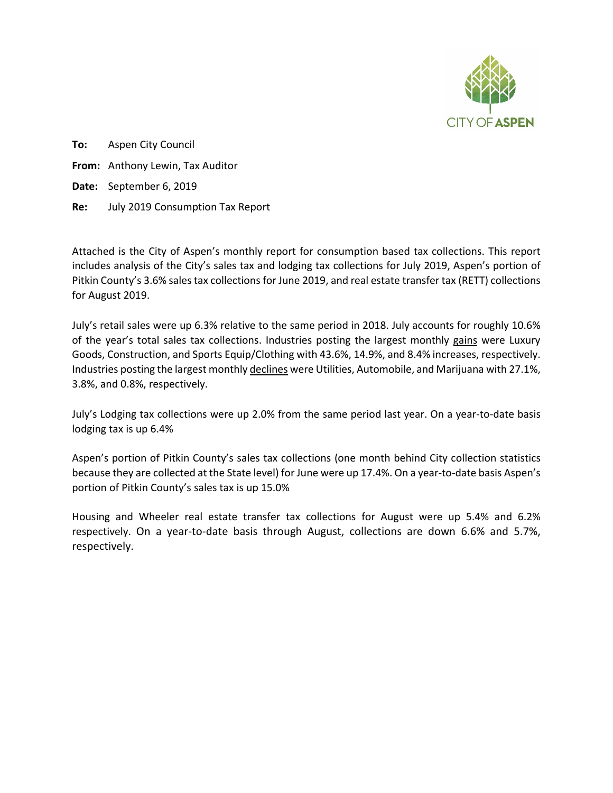

**To:** Aspen City Council **From:** Anthony Lewin, Tax Auditor **Date:** September 6, 2019 **Re:** July 2019 Consumption Tax Report

Attached is the City of Aspen's monthly report for consumption based tax collections. This report includes analysis of the City's sales tax and lodging tax collections for July 2019, Aspen's portion of Pitkin County's 3.6% sales tax collections for June 2019, and real estate transfer tax (RETT) collections for August 2019.

July's retail sales were up 6.3% relative to the same period in 2018. July accounts for roughly 10.6% of the year's total sales tax collections. Industries posting the largest monthly gains were Luxury Goods, Construction, and Sports Equip/Clothing with 43.6%, 14.9%, and 8.4% increases, respectively. Industries posting the largest monthly declines were Utilities, Automobile, and Marijuana with 27.1%, 3.8%, and 0.8%, respectively.

July's Lodging tax collections were up 2.0% from the same period last year. On a year-to-date basis lodging tax is up 6.4%

Aspen's portion of Pitkin County's sales tax collections (one month behind City collection statistics because they are collected at the State level) for June were up 17.4%. On a year-to-date basis Aspen's portion of Pitkin County's sales tax is up 15.0%

Housing and Wheeler real estate transfer tax collections for August were up 5.4% and 6.2% respectively. On a year-to-date basis through August, collections are down 6.6% and 5.7%, respectively.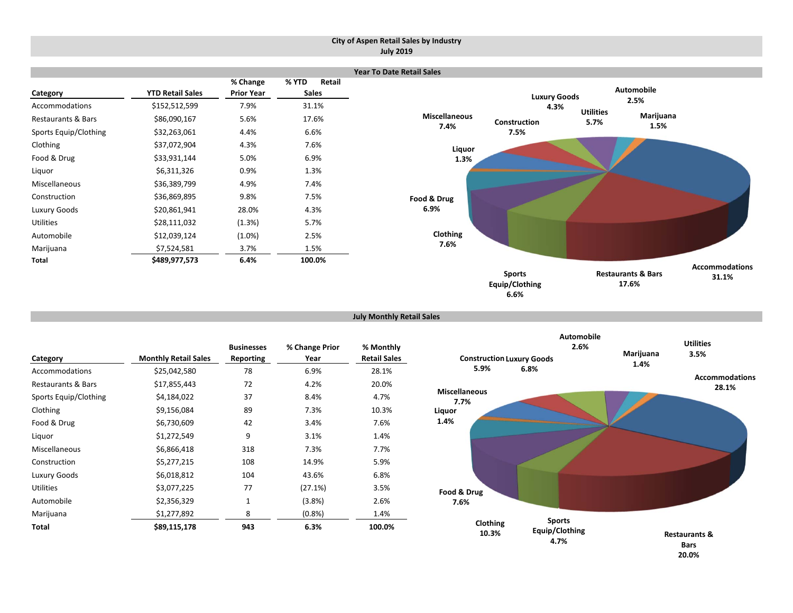#### **City of Aspen Retail Sales by Industry July 2019**

|                               |                         |                               |       |                        | <b>Year To Date Retail Sales</b>     |                     |                          |                               |                       |
|-------------------------------|-------------------------|-------------------------------|-------|------------------------|--------------------------------------|---------------------|--------------------------|-------------------------------|-----------------------|
| Category                      | <b>YTD Retail Sales</b> | % Change<br><b>Prior Year</b> | % YTD | Retail<br><b>Sales</b> |                                      | <b>Luxury Goods</b> |                          | Automobile                    |                       |
| Accommodations                | \$152,512,599           | 7.9%                          |       | 31.1%                  |                                      | 4.3%                |                          | 2.5%                          |                       |
| <b>Restaurants &amp; Bars</b> | \$86,090,167            | 5.6%                          |       | 17.6%                  | <b>Miscellaneous</b><br>Construction |                     | <b>Utilities</b><br>5.7% | Marijuana                     |                       |
| Sports Equip/Clothing         | \$32,263,061            | 4.4%                          |       | 6.6%                   | 7.4%<br>7.5%                         |                     |                          | 1.5%                          |                       |
| Clothing                      | \$37,072,904            | 4.3%                          |       | 7.6%                   | Liquor                               |                     |                          |                               |                       |
| Food & Drug                   | \$33,931,144            | 5.0%                          |       | 6.9%                   | 1.3%                                 |                     |                          |                               |                       |
| Liquor                        | \$6,311,326             | 0.9%                          |       | 1.3%                   |                                      |                     |                          |                               |                       |
| Miscellaneous                 | \$36,389,799            | 4.9%                          |       | 7.4%                   |                                      |                     |                          |                               |                       |
| Construction                  | \$36,869,895            | 9.8%                          |       | 7.5%                   | Food & Drug                          |                     |                          |                               |                       |
| Luxury Goods                  | \$20,861,941            | 28.0%                         |       | 4.3%                   | 6.9%                                 |                     |                          |                               |                       |
| Utilities                     | \$28,111,032            | (1.3%)                        |       | 5.7%                   |                                      |                     |                          |                               |                       |
| Automobile                    | \$12,039,124            | $(1.0\%)$                     |       | 2.5%                   | Clothing                             |                     |                          |                               |                       |
| Marijuana                     | \$7,524,581             | 3.7%                          |       | 1.5%                   | 7.6%                                 |                     |                          |                               |                       |
| Total                         | \$489,977,573           | 6.4%                          |       | 100.0%                 |                                      |                     |                          |                               | <b>Accommodations</b> |
|                               |                         |                               |       |                        | <b>Sports</b>                        |                     |                          | <b>Restaurants &amp; Bars</b> | 31.1%                 |
|                               |                         |                               |       |                        | Equip/Clothing                       |                     |                          | 17.6%                         |                       |

**July Monthly Retail Sales**

| Category              | <b>Monthly Retail Sales</b> | <b>Businesses</b><br>Reporting | % Change Prior<br>Year | % Monthly<br><b>Retail Sales</b> |
|-----------------------|-----------------------------|--------------------------------|------------------------|----------------------------------|
| Accommodations        | \$25,042,580                | 78                             | 6.9%                   | 28.1%                            |
| Restaurants & Bars    | \$17,855,443                | 72                             | 4.2%                   | 20.0%                            |
| Sports Equip/Clothing | \$4,184,022                 | 37                             | 8.4%                   | 4.7%                             |
| Clothing              | \$9,156,084                 | 89                             | 7.3%                   | 10.3%                            |
| Food & Drug           | \$6,730,609                 | 42                             | 3.4%                   | 7.6%                             |
| Liquor                | \$1,272,549                 | 9                              | 3.1%                   | 1.4%                             |
| Miscellaneous         | \$6,866,418                 | 318                            | 7.3%                   | 7.7%                             |
| Construction          | \$5,277,215                 | 108                            | 14.9%                  | 5.9%                             |
| Luxury Goods          | \$6,018,812                 | 104                            | 43.6%                  | 6.8%                             |
| <b>Utilities</b>      | \$3,077,225                 | 77                             | (27.1%)                | 3.5%                             |
| Automobile            | \$2,356,329                 | $\mathbf{1}$                   | (3.8%)                 | 2.6%                             |
| Marijuana             | \$1,277,892                 | 8                              | (0.8%                  | 1.4%                             |
| Total                 | \$89,115,178                | 943                            | 6.3%                   | 100.0%                           |



**6.6%**

**17.6%**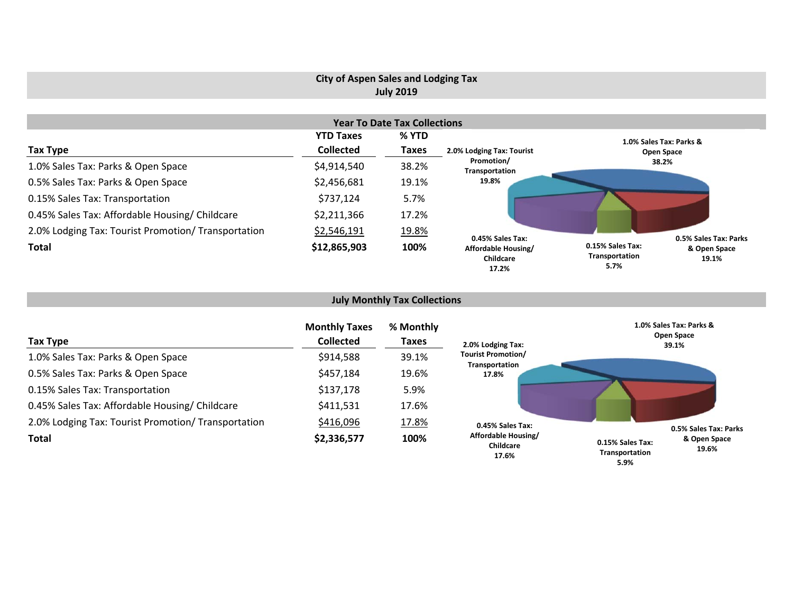## **City of Aspen Sales and Lodging Tax July 2019**

|                                                     |                  | <b>Year To Date Tax Collections</b> |                                           |                                                                     |
|-----------------------------------------------------|------------------|-------------------------------------|-------------------------------------------|---------------------------------------------------------------------|
|                                                     | <b>YTD Taxes</b> | % YTD                               |                                           | 1.0% Sales Tax: Parks &                                             |
| Tax Type                                            | <b>Collected</b> | <b>Taxes</b>                        | 2.0% Lodging Tax: Tourist                 | Open Space                                                          |
| 1.0% Sales Tax: Parks & Open Space                  | \$4,914,540      | 38.2%                               | Promotion/<br>Transportation              | 38.2%                                                               |
| 0.5% Sales Tax: Parks & Open Space                  | \$2,456,681      | 19.1%                               | 19.8%                                     |                                                                     |
| 0.15% Sales Tax: Transportation                     | \$737,124        | 5.7%                                |                                           |                                                                     |
| 0.45% Sales Tax: Affordable Housing/ Childcare      | \$2,211,366      | 17.2%                               |                                           |                                                                     |
| 2.0% Lodging Tax: Tourist Promotion/ Transportation | \$2,546,191      | 19.8%                               | 0.45% Sales Tax:                          | 0.5% Sales Tax: Parks                                               |
| <b>Total</b>                                        | \$12,865,903     | 100%                                | Affordable Housing/<br>Childcare<br>17.2% | 0.15% Sales Tax:<br>& Open Space<br>Transportation<br>19.1%<br>5.7% |

## **July Monthly Tax Collections**

| Tax Type                                            | <b>Monthly Taxes</b><br><b>Collected</b> | % Monthly<br>Taxes | 2.0% Lodging Tax:                           | 1.0% Sales Tax: Parks &<br><b>Open Space</b><br>39.1%       |
|-----------------------------------------------------|------------------------------------------|--------------------|---------------------------------------------|-------------------------------------------------------------|
| 1.0% Sales Tax: Parks & Open Space                  | \$914,588                                | 39.1%              | <b>Tourist Promotion/</b><br>Transportation |                                                             |
| 0.5% Sales Tax: Parks & Open Space                  | \$457,184                                | 19.6%              | 17.8%                                       |                                                             |
| 0.15% Sales Tax: Transportation                     | \$137,178                                | 5.9%               |                                             |                                                             |
| 0.45% Sales Tax: Affordable Housing/ Childcare      | \$411,531                                | 17.6%              |                                             |                                                             |
| 2.0% Lodging Tax: Tourist Promotion/ Transportation | \$416,096                                | 17.8%              | 0.45% Sales Tax:                            | 0.5% Sales Tax: Parks                                       |
| <b>Total</b>                                        | \$2,336,577                              | 100%               | Affordable Housing/<br>Childcare<br>17.6%   | & Open Space<br>0.15% Sales Tax:<br>19.6%<br>Transportation |

**5.9%**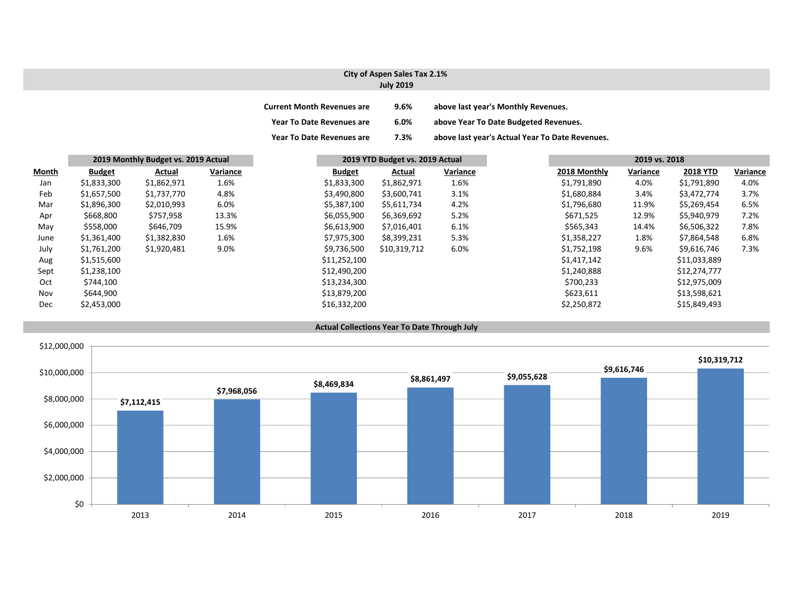#### **City of Aspen Sales Tax 2.1% July 2019**

| <b>Current Month Revenues are</b> | $9.6\%$ | above last year's Monthly Revenues.             |
|-----------------------------------|---------|-------------------------------------------------|
| <b>Year To Date Revenues are</b>  | $6.0\%$ | above Year To Date Budgeted Revenues.           |
| <b>Year To Date Revenues are</b>  | 7.3%    | above last year's Actual Year To Date Revenues. |

|       |               | 2019 Monthly Budget vs. 2019 Actual |          |               | 2019 YTD Budget vs. 2019 Actual |          |              | 2019 vs. 2018 |                 |          |
|-------|---------------|-------------------------------------|----------|---------------|---------------------------------|----------|--------------|---------------|-----------------|----------|
| Month | <b>Budget</b> | Actual                              | Variance | <b>Budget</b> | Actual                          | Variance | 2018 Monthly | Variance      | <b>2018 YTD</b> | Variance |
| Jan   | \$1,833,300   | \$1,862,971                         | 1.6%     | \$1,833,300   | \$1,862,971                     | 1.6%     | \$1,791,890  | 4.0%          | \$1,791,890     | 4.0%     |
| Feb   | \$1,657,500   | \$1,737,770                         | 4.8%     | \$3,490,800   | \$3,600,741                     | 3.1%     | \$1,680,884  | 3.4%          | \$3,472,774     | 3.7%     |
| Mar   | \$1,896,300   | \$2,010,993                         | 6.0%     | \$5,387,100   | \$5,611,734                     | 4.2%     | \$1,796,680  | 11.9%         | \$5,269,454     | 6.5%     |
| Apr   | \$668,800     | \$757,958                           | 13.3%    | \$6,055,900   | \$6,369,692                     | 5.2%     | \$671,525    | 12.9%         | \$5,940,979     | 7.2%     |
| May   | \$558,000     | \$646,709                           | 15.9%    | \$6,613,900   | \$7,016,401                     | 6.1%     | \$565,343    | 14.4%         | \$6,506,322     | 7.8%     |
| June  | \$1,361,400   | \$1,382,830                         | 1.6%     | \$7,975,300   | \$8,399,231                     | 5.3%     | \$1,358,227  | 1.8%          | \$7,864,548     | 6.8%     |
| July  | \$1,761,200   | \$1,920,481                         | 9.0%     | \$9,736,500   | \$10,319,712                    | 6.0%     | \$1,752,198  | 9.6%          | \$9,616,746     | 7.3%     |
| Aug   | \$1,515,600   |                                     |          | \$11,252,100  |                                 |          | \$1,417,142  |               | \$11,033,889    |          |
| Sept  | \$1,238,100   |                                     |          | \$12,490,200  |                                 |          | \$1,240,888  |               | \$12,274,777    |          |
| Oct   | \$744,100     |                                     |          | \$13,234,300  |                                 |          | \$700,233    |               | \$12,975,009    |          |
| Nov   | \$644,900     |                                     |          | \$13,879,200  |                                 |          | \$623,611    |               | \$13,598,621    |          |
| Dec   | \$2,453,000   |                                     |          | \$16,332,200  |                                 |          | \$2,250,872  |               | \$15,849,493    |          |



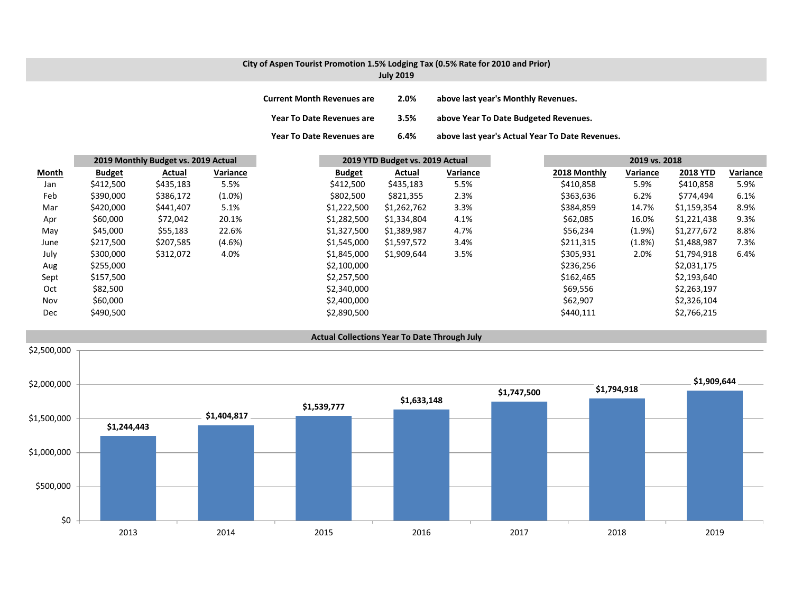# **City of Aspen Tourist Promotion 1.5% Lodging Tax (0.5% Rate for 2010 and Prior)**

| <b>July 2019</b> |  |  |  |
|------------------|--|--|--|
|------------------|--|--|--|

| <b>Current Month Revenues are</b> | 2.0% | above last year's Monthly Revenues.             |
|-----------------------------------|------|-------------------------------------------------|
| Year To Date Revenues are         | 3.5% | above Year To Date Budgeted Revenues.           |
| <b>Year To Date Revenues are</b>  | 6.4% | above last year's Actual Year To Date Revenues. |

|              |               | 2019 Monthly Budget vs. 2019 Actual |           |               | 2019 YTD Budget vs. 2019 Actual |          |              | 2019 vs. 2018 |                 |          |
|--------------|---------------|-------------------------------------|-----------|---------------|---------------------------------|----------|--------------|---------------|-----------------|----------|
| <b>Month</b> | <b>Budget</b> | Actual                              | Variance  | <b>Budget</b> | Actual                          | Variance | 2018 Monthly | Variance      | <b>2018 YTD</b> | Variance |
| Jan          | \$412,500     | \$435,183                           | 5.5%      | \$412,500     | \$435,183                       | 5.5%     | \$410,858    | 5.9%          | \$410,858       | 5.9%     |
| Feb          | \$390,000     | \$386,172                           | $(1.0\%)$ | \$802,500     | \$821,355                       | 2.3%     | \$363,636    | 6.2%          | \$774,494       | 6.1%     |
| Mar          | \$420,000     | \$441,407                           | 5.1%      | \$1,222,500   | \$1,262,762                     | 3.3%     | \$384,859    | 14.7%         | \$1,159,354     | 8.9%     |
| Apr          | \$60,000      | \$72,042                            | 20.1%     | \$1,282,500   | \$1,334,804                     | 4.1%     | \$62,085     | 16.0%         | \$1,221,438     | 9.3%     |
| May          | \$45,000      | \$55,183                            | 22.6%     | \$1,327,500   | \$1,389,987                     | 4.7%     | \$56,234     | (1.9%         | \$1,277,672     | 8.8%     |
| June         | \$217,500     | \$207,585                           | $(4.6\%)$ | \$1,545,000   | \$1,597,572                     | 3.4%     | \$211,315    | (1.8%)        | \$1,488,987     | 7.3%     |
| July         | \$300,000     | \$312,072                           | 4.0%      | \$1,845,000   | \$1,909,644                     | 3.5%     | \$305,931    | 2.0%          | \$1,794,918     | 6.4%     |
| Aug          | \$255,000     |                                     |           | \$2,100,000   |                                 |          | \$236,256    |               | \$2,031,175     |          |
| Sept         | \$157,500     |                                     |           | \$2,257,500   |                                 |          | \$162,465    |               | \$2,193,640     |          |
| Oct          | \$82,500      |                                     |           | \$2,340,000   |                                 |          | \$69,556     |               | \$2,263,197     |          |
| Nov          | \$60,000      |                                     |           | \$2,400,000   |                                 |          | \$62,907     |               | \$2,326,104     |          |
| Dec          | \$490,500     |                                     |           | \$2,890,500   |                                 |          | \$440,111    |               | \$2,766,215     |          |

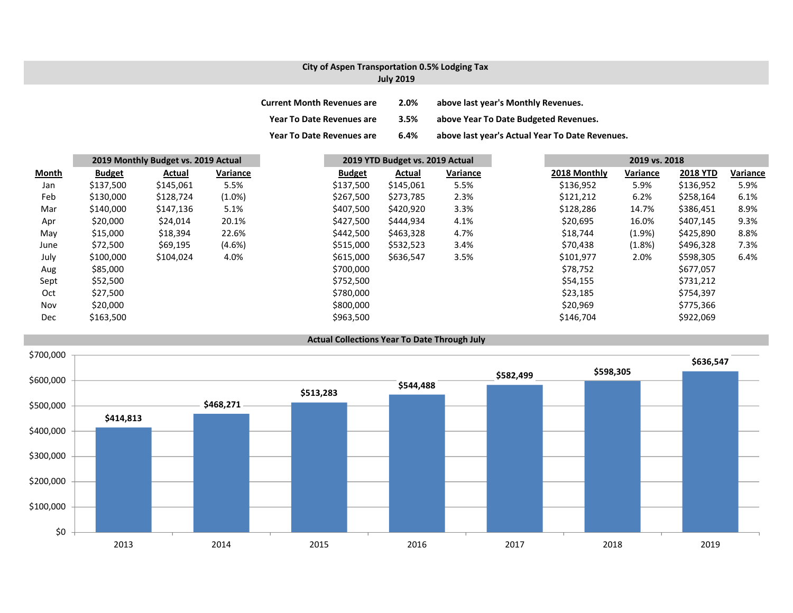#### **City of Aspen Transportation 0.5% Lodging Tax July 2019**

| <b>Current Month Revenues are</b> | 2.0% | above last year's Monthly Revenues.             |
|-----------------------------------|------|-------------------------------------------------|
| <b>Year To Date Revenues are</b>  | 3.5% | above Year To Date Budgeted Revenues.           |
| <b>Year To Date Revenues are</b>  | 6.4% | above last year's Actual Year To Date Revenues. |

|       |               | 2019 Monthly Budget vs. 2019 Actual |           |               | 2019 YTD Budget vs. 2019 Actual |          |  | 2019 vs. 2018 |           |                 |          |
|-------|---------------|-------------------------------------|-----------|---------------|---------------------------------|----------|--|---------------|-----------|-----------------|----------|
| Month | <b>Budget</b> | Actual                              | Variance  | <b>Budget</b> | Actual                          | Variance |  | 2018 Monthly  | Variance  | <b>2018 YTD</b> | Variance |
| Jan   | \$137,500     | \$145,061                           | 5.5%      | \$137,500     | \$145,061                       | 5.5%     |  | \$136,952     | 5.9%      | \$136,952       | 5.9%     |
| Feb   | \$130,000     | \$128,724                           | $(1.0\%)$ | \$267,500     | \$273,785                       | 2.3%     |  | \$121,212     | 6.2%      | \$258,164       | 6.1%     |
| Mar   | \$140,000     | \$147,136                           | 5.1%      | \$407,500     | \$420,920                       | 3.3%     |  | \$128,286     | 14.7%     | \$386,451       | 8.9%     |
| Apr   | \$20,000      | \$24,014                            | 20.1%     | \$427,500     | \$444,934                       | 4.1%     |  | \$20,695      | 16.0%     | \$407,145       | 9.3%     |
| May   | \$15,000      | \$18,394                            | 22.6%     | \$442,500     | \$463,328                       | 4.7%     |  | \$18,744      | $(1.9\%)$ | \$425,890       | 8.8%     |
| June  | \$72,500      | \$69,195                            | $(4.6\%)$ | \$515,000     | \$532,523                       | 3.4%     |  | \$70,438      | (1.8%)    | \$496,328       | 7.3%     |
| July  | \$100,000     | \$104,024                           | 4.0%      | \$615,000     | \$636,547                       | 3.5%     |  | \$101,977     | 2.0%      | \$598,305       | 6.4%     |
| Aug   | \$85,000      |                                     |           | \$700,000     |                                 |          |  | \$78,752      |           | \$677,057       |          |
| Sept  | \$52,500      |                                     |           | \$752,500     |                                 |          |  | \$54,155      |           | \$731,212       |          |
| Oct   | \$27,500      |                                     |           | \$780,000     |                                 |          |  | \$23,185      |           | \$754,397       |          |
| Nov   | \$20,000      |                                     |           | \$800,000     |                                 |          |  | \$20,969      |           | \$775,366       |          |
| Dec   | \$163,500     |                                     |           | \$963,500     |                                 |          |  | \$146,704     |           | \$922,069       |          |

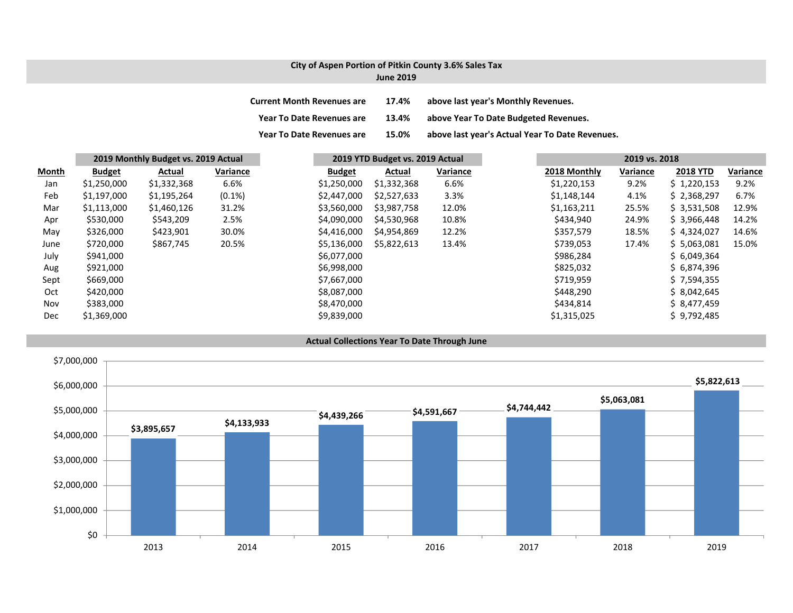#### **City of Aspen Portion of Pitkin County 3.6% Sales Tax June 2019**

| <b>Current Month Revenues are</b> | 17.4% | above last year's Monthly Revenues.             |
|-----------------------------------|-------|-------------------------------------------------|
| <b>Year To Date Revenues are</b>  | 13.4% | above Year To Date Budgeted Revenues.           |
| <b>Year To Date Revenues are</b>  | 15.0% | above last year's Actual Year To Date Revenues. |

|       | 2019 Monthly Budget vs. 2019 Actual |             |           |  | 2019 YTD Budget vs. 2019 Actual |             |          |              | 2019 vs. 2018 |                 |          |  |
|-------|-------------------------------------|-------------|-----------|--|---------------------------------|-------------|----------|--------------|---------------|-----------------|----------|--|
| Month | <b>Budget</b>                       | Actual      | Variance  |  | <b>Budget</b>                   | Actual      | Variance | 2018 Monthly | Variance      | <b>2018 YTD</b> | Variance |  |
| Jan   | \$1,250,000                         | \$1,332,368 | 6.6%      |  | \$1,250,000                     | \$1,332,368 | 6.6%     | \$1,220,153  | 9.2%          | \$1,220,153     | 9.2%     |  |
| Feb   | \$1,197,000                         | \$1,195,264 | $(0.1\%)$ |  | \$2,447,000                     | \$2,527,633 | 3.3%     | \$1,148,144  | 4.1%          | \$2,368,297     | 6.7%     |  |
| Mar   | \$1,113,000                         | \$1,460,126 | 31.2%     |  | \$3,560,000                     | \$3,987,758 | 12.0%    | \$1,163,211  | 25.5%         | \$3,531,508     | 12.9%    |  |
| Apr   | \$530,000                           | \$543,209   | 2.5%      |  | \$4,090,000                     | \$4,530,968 | 10.8%    | \$434,940    | 24.9%         | \$3,966,448     | 14.2%    |  |
| May   | \$326,000                           | \$423,901   | 30.0%     |  | \$4,416,000                     | \$4,954,869 | 12.2%    | \$357,579    | 18.5%         | \$4,324,027     | 14.6%    |  |
| June  | \$720,000                           | \$867,745   | 20.5%     |  | \$5,136,000                     | \$5,822,613 | 13.4%    | \$739,053    | 17.4%         | \$5,063,081     | 15.0%    |  |
| July  | \$941,000                           |             |           |  | \$6,077,000                     |             |          | \$986,284    |               | \$6,049,364     |          |  |
| Aug   | \$921,000                           |             |           |  | \$6,998,000                     |             |          | \$825,032    |               | \$6,874,396     |          |  |
| Sept  | \$669,000                           |             |           |  | \$7,667,000                     |             |          | \$719,959    |               | \$7,594,355     |          |  |
| Oct   | \$420,000                           |             |           |  | \$8,087,000                     |             |          | \$448,290    |               | \$8,042,645     |          |  |
| Nov   | \$383,000                           |             |           |  | \$8,470,000                     |             |          | \$434,814    |               | \$8,477,459     |          |  |
| Dec   | \$1,369,000                         |             |           |  | \$9,839,000                     |             |          | \$1,315,025  |               | \$9,792,485     |          |  |

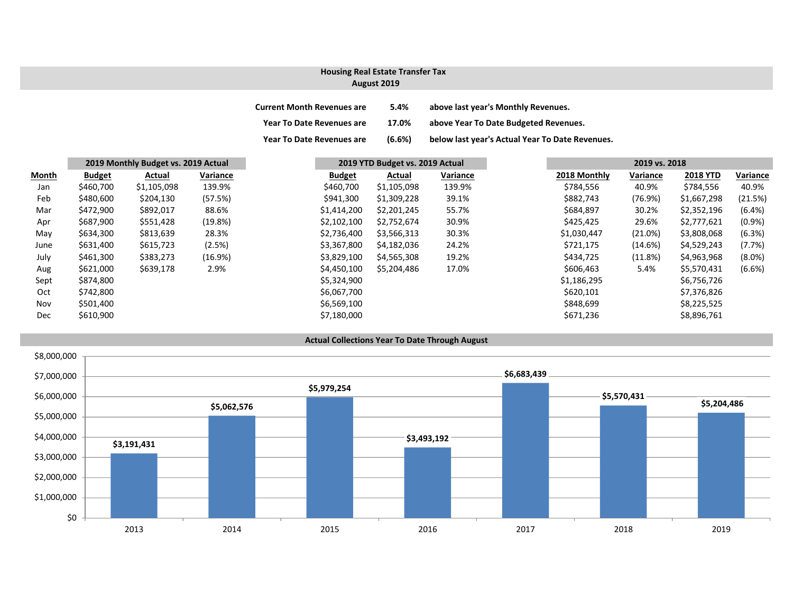## **Housing Real Estate Transfer Tax**

### **August 2019**

| <b>Current Month Revenues are</b> | 5.4%   | above last year's Monthly Revenues.             |
|-----------------------------------|--------|-------------------------------------------------|
| <b>Year To Date Revenues are</b>  | 17.0%  | above Year To Date Budgeted Revenues.           |
| Year To Date Revenues are         | (6.6%) | below last year's Actual Year To Date Revenues. |

|       |               | 2019 Monthly Budget vs. 2019 Actual |          | 2019 YTD Budget vs. 2019 Actual | 2019 vs. 2018 |          |  |              |          |                 |           |
|-------|---------------|-------------------------------------|----------|---------------------------------|---------------|----------|--|--------------|----------|-----------------|-----------|
| Month | <b>Budget</b> | Actual                              | Variance | <b>Budget</b>                   | Actual        | Variance |  | 2018 Monthly | Variance | <b>2018 YTD</b> | Variance  |
| Jan   | \$460,700     | \$1,105,098                         | 139.9%   | \$460,700                       | \$1,105,098   | 139.9%   |  | \$784,556    | 40.9%    | \$784,556       | 40.9%     |
| Feb   | \$480,600     | \$204,130                           | (57.5%)  | \$941,300                       | \$1,309,228   | 39.1%    |  | \$882,743    | (76.9%)  | \$1,667,298     | (21.5%)   |
| Mar   | \$472,900     | \$892,017                           | 88.6%    | \$1,414,200                     | \$2,201,245   | 55.7%    |  | \$684,897    | 30.2%    | \$2,352,196     | $(6.4\%)$ |
| Apr   | \$687,900     | \$551,428                           | (19.8%)  | \$2,102,100                     | \$2,752,674   | 30.9%    |  | \$425,425    | 29.6%    | \$2,777,621     | $(0.9\%)$ |
| May   | \$634,300     | \$813,639                           | 28.3%    | \$2,736,400                     | \$3,566,313   | 30.3%    |  | \$1,030,447  | (21.0%)  | \$3,808,068     | (6.3%)    |
| June  | \$631,400     | \$615,723                           | (2.5%)   | \$3,367,800                     | \$4,182,036   | 24.2%    |  | \$721,175    | (14.6%)  | \$4,529,243     | (7.7%)    |
| July  | \$461,300     | \$383,273                           | (16.9%)  | \$3,829,100                     | \$4,565,308   | 19.2%    |  | \$434,725    | (11.8%)  | \$4,963,968     | $(8.0\%)$ |
| Aug   | \$621,000     | \$639,178                           | 2.9%     | \$4,450,100                     | \$5,204,486   | 17.0%    |  | \$606,463    | 5.4%     | \$5,570,431     | $(6.6\%)$ |
| Sept  | \$874,800     |                                     |          | \$5,324,900                     |               |          |  | \$1,186,295  |          | \$6,756,726     |           |
| Oct   | \$742,800     |                                     |          | \$6,067,700                     |               |          |  | \$620,101    |          | \$7,376,826     |           |
| Nov   | \$501,400     |                                     |          | \$6,569,100                     |               |          |  | \$848,699    |          | \$8,225,525     |           |
| Dec   | \$610,900     |                                     |          | \$7,180,000                     |               |          |  | \$671,236    |          | \$8,896,761     |           |